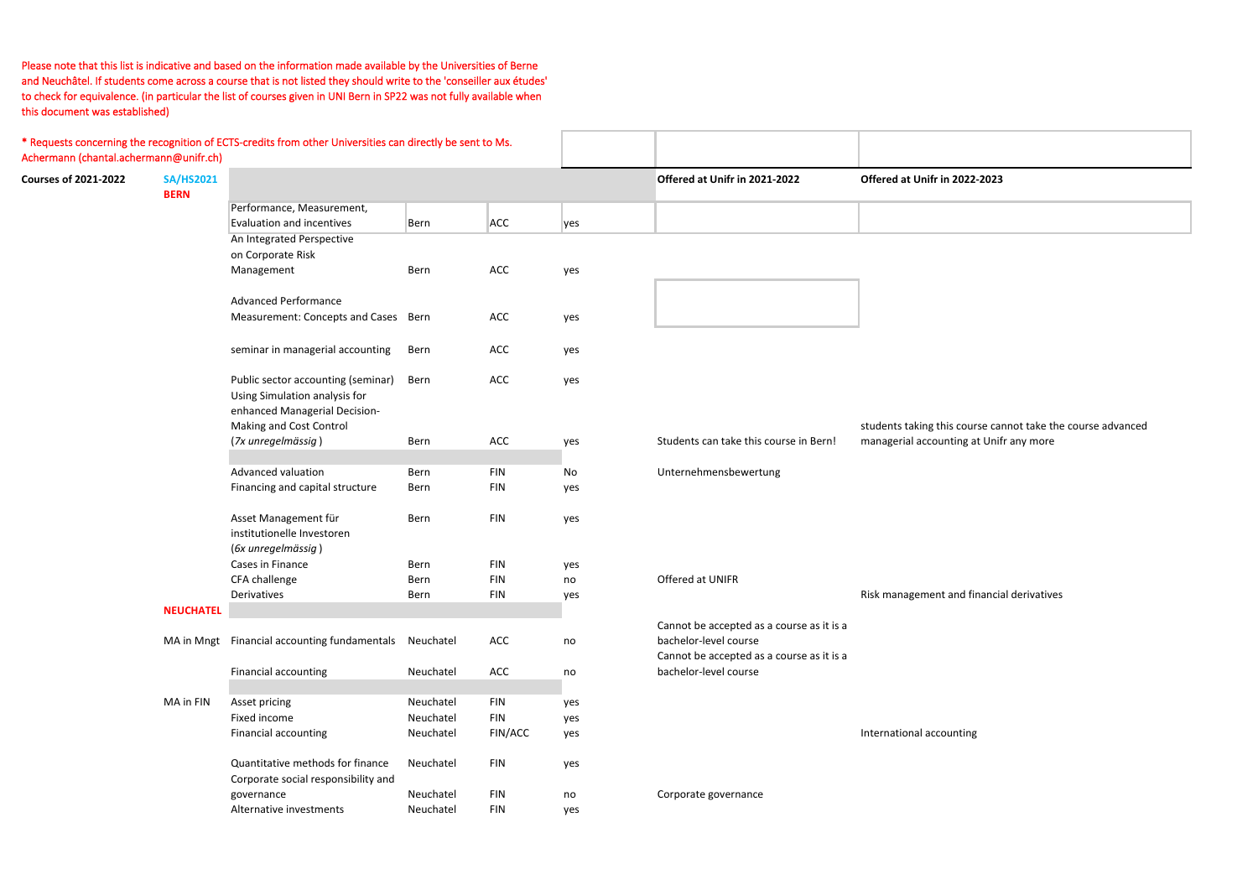| Achermann (chantal.achermann@unifr.ch) |                                 | * Requests concerning the recognition of ECTS-credits from other Universities can directly be sent to Ms. |           |            |     |                                           |                                |
|----------------------------------------|---------------------------------|-----------------------------------------------------------------------------------------------------------|-----------|------------|-----|-------------------------------------------|--------------------------------|
| <b>Courses of 2021-2022</b>            | <b>SA/HS2021</b><br><b>BERN</b> |                                                                                                           |           |            |     | Offered at Unifr in 2021-2022             | Offered at Unifr in 2022-2023  |
|                                        |                                 | Performance, Measurement,                                                                                 |           |            |     |                                           |                                |
|                                        |                                 | Evaluation and incentives                                                                                 | Bern      | <b>ACC</b> | yes |                                           |                                |
|                                        |                                 | An Integrated Perspective                                                                                 |           |            |     |                                           |                                |
|                                        |                                 | on Corporate Risk                                                                                         |           |            |     |                                           |                                |
|                                        |                                 | Management                                                                                                | Bern      | ACC        | yes |                                           |                                |
|                                        |                                 | <b>Advanced Performance</b>                                                                               |           |            |     |                                           |                                |
|                                        |                                 | Measurement: Concepts and Cases Bern                                                                      |           | ACC        | yes |                                           |                                |
|                                        |                                 | seminar in managerial accounting                                                                          | Bern      | ACC        | yes |                                           |                                |
|                                        |                                 | Public sector accounting (seminar)<br>Using Simulation analysis for                                       | Bern      | ACC        | yes |                                           |                                |
|                                        |                                 | enhanced Managerial Decision-<br>Making and Cost Control                                                  |           |            |     |                                           | students taking this course ca |
|                                        |                                 | (7x unregelmässig)                                                                                        | Bern      | ACC        | yes | Students can take this course in Bern!    | managerial accounting at Unif  |
|                                        |                                 | Advanced valuation                                                                                        | Bern      | <b>FIN</b> | No  | Unternehmensbewertung                     |                                |
|                                        |                                 | Financing and capital structure                                                                           | Bern      | <b>FIN</b> | yes |                                           |                                |
|                                        |                                 | Asset Management für<br>institutionelle Investoren<br>(6x unregelmässig)                                  | Bern      | <b>FIN</b> | yes |                                           |                                |
|                                        |                                 | Cases in Finance                                                                                          | Bern      | <b>FIN</b> | yes |                                           |                                |
|                                        |                                 | CFA challenge                                                                                             | Bern      | <b>FIN</b> | no  | Offered at UNIFR                          |                                |
|                                        |                                 | Derivatives                                                                                               | Bern      | <b>FIN</b> | yes |                                           | Risk management and financia   |
|                                        | <b>NEUCHATEL</b>                |                                                                                                           |           |            |     |                                           |                                |
|                                        |                                 |                                                                                                           |           |            |     | Cannot be accepted as a course as it is a |                                |
|                                        |                                 | MA in Mngt Financial accounting fundamentals                                                              | Neuchatel | ACC        | no  | bachelor-level course                     |                                |
|                                        |                                 |                                                                                                           |           |            |     | Cannot be accepted as a course as it is a |                                |
|                                        |                                 | <b>Financial accounting</b>                                                                               | Neuchatel | ACC        | no  | bachelor-level course                     |                                |
|                                        | MA in FIN                       | Asset pricing                                                                                             | Neuchatel | FIN        | yes |                                           |                                |
|                                        |                                 | Fixed income                                                                                              | Neuchatel | <b>FIN</b> | yes |                                           |                                |
|                                        |                                 | Financial accounting                                                                                      | Neuchatel | FIN/ACC    | yes |                                           | International accounting       |
|                                        |                                 | Quantitative methods for finance<br>Corporate social responsibility and                                   | Neuchatel | <b>FIN</b> | yes |                                           |                                |
|                                        |                                 | governance                                                                                                | Neuchatel | <b>FIN</b> | no  | Corporate governance                      |                                |
|                                        |                                 | Alternative investments                                                                                   | Neuchatel | <b>FIN</b> | yes |                                           |                                |

is course cannot take the course advanced nting at Unifr any more

and financial derivatives

Please note that this list is indicative and based on the information made available by the Universities of Berne and Neuchâtel. If students come across <sup>a</sup> course that is not listed they should write to the 'conseiller aux études' to check for equivalence. (in particular the list of courses given in UNI Bern in SP22 was not fully available when this document was established)